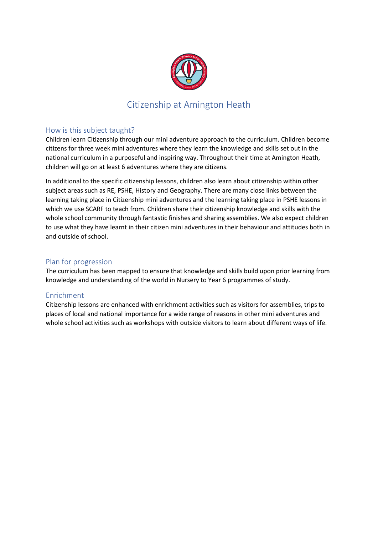

## Citizenship at Amington Heath

### How is this subject taught?

Children learn Citizenship through our mini adventure approach to the curriculum. Children become citizens for three week mini adventures where they learn the knowledge and skills set out in the national curriculum in a purposeful and inspiring way. Throughout their time at Amington Heath, children will go on at least 6 adventures where they are citizens.

In additional to the specific citizenship lessons, children also learn about citizenship within other subject areas such as RE, PSHE, History and Geography. There are many close links between the learning taking place in Citizenship mini adventures and the learning taking place in PSHE lessons in which we use SCARF to teach from. Children share their citizenship knowledge and skills with the whole school community through fantastic finishes and sharing assemblies. We also expect children to use what they have learnt in their citizen mini adventures in their behaviour and attitudes both in and outside of school.

#### Plan for progression

The curriculum has been mapped to ensure that knowledge and skills build upon prior learning from knowledge and understanding of the world in Nursery to Year 6 programmes of study.

#### Enrichment

Citizenship lessons are enhanced with enrichment activities such as visitors for assemblies, trips to places of local and national importance for a wide range of reasons in other mini adventures and whole school activities such as workshops with outside visitors to learn about different ways of life.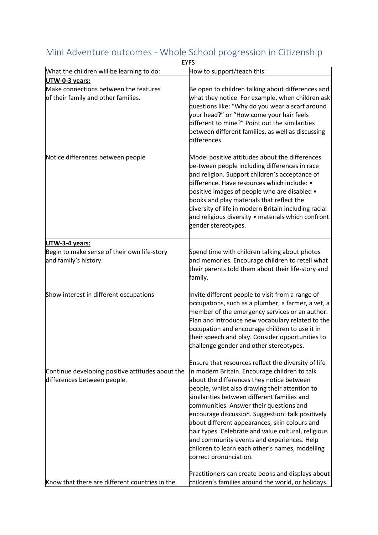|                                                                                 | <b>EYFS</b>                                                                                                                                                                                                                                                                                                                                                                                                                                                                                                                                                                           |
|---------------------------------------------------------------------------------|---------------------------------------------------------------------------------------------------------------------------------------------------------------------------------------------------------------------------------------------------------------------------------------------------------------------------------------------------------------------------------------------------------------------------------------------------------------------------------------------------------------------------------------------------------------------------------------|
| What the children will be learning to do:                                       | How to support/teach this:                                                                                                                                                                                                                                                                                                                                                                                                                                                                                                                                                            |
| UTW-0-3 years:                                                                  |                                                                                                                                                                                                                                                                                                                                                                                                                                                                                                                                                                                       |
| Make connections between the features<br>of their family and other families.    | Be open to children talking about differences and<br>what they notice. For example, when children ask<br>questions like: "Why do you wear a scarf around<br>your head?" or "How come your hair feels<br>different to mine?" Point out the similarities<br>between different families, as well as discussing<br>differences                                                                                                                                                                                                                                                            |
| Notice differences between people                                               | Model positive attitudes about the differences<br>be-tween people including differences in race<br>and religion. Support children's acceptance of<br>difference. Have resources which include: •<br>positive images of people who are disabled •<br>books and play materials that reflect the<br>diversity of life in modern Britain including racial<br>and religious diversity • materials which confront<br>gender stereotypes.                                                                                                                                                    |
| UTW-3-4 years:                                                                  |                                                                                                                                                                                                                                                                                                                                                                                                                                                                                                                                                                                       |
| Begin to make sense of their own life-story<br>and family's history.            | Spend time with children talking about photos<br>and memories. Encourage children to retell what<br>their parents told them about their life-story and<br>family.                                                                                                                                                                                                                                                                                                                                                                                                                     |
| Show interest in different occupations                                          | Invite different people to visit from a range of<br>occupations, such as a plumber, a farmer, a vet, a<br>member of the emergency services or an author.<br>Plan and introduce new vocabulary related to the<br>occupation and encourage children to use it in<br>their speech and play. Consider opportunities to<br>challenge gender and other stereotypes.                                                                                                                                                                                                                         |
| Continue developing positive attitudes about the<br>differences between people. | Ensure that resources reflect the diversity of life<br>in modern Britain. Encourage children to talk<br>about the differences they notice between<br>people, whilst also drawing their attention to<br>similarities between different families and<br>communities. Answer their questions and<br>encourage discussion. Suggestion: talk positively<br>about different appearances, skin colours and<br>hair types. Celebrate and value cultural, religious<br>and community events and experiences. Help<br>children to learn each other's names, modelling<br>correct pronunciation. |
| Know that there are different countries in the                                  | Practitioners can create books and displays about<br>children's families around the world, or holidays                                                                                                                                                                                                                                                                                                                                                                                                                                                                                |

# Mini Adventure outcomes - Whole School progression in Citizenship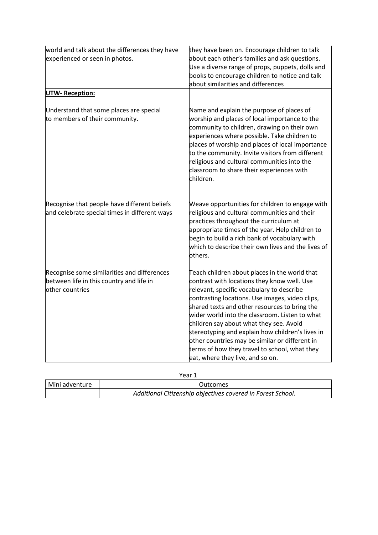| world and talk about the differences they have<br>experienced or seen in photos.                            | they have been on. Encourage children to talk<br>about each other's families and ask questions.<br>Use a diverse range of props, puppets, dolls and<br>books to encourage children to notice and talk<br>about similarities and differences                                                                                                                                                                                                                                                                                           |
|-------------------------------------------------------------------------------------------------------------|---------------------------------------------------------------------------------------------------------------------------------------------------------------------------------------------------------------------------------------------------------------------------------------------------------------------------------------------------------------------------------------------------------------------------------------------------------------------------------------------------------------------------------------|
| <b>UTW-Reception:</b>                                                                                       |                                                                                                                                                                                                                                                                                                                                                                                                                                                                                                                                       |
| Understand that some places are special<br>to members of their community.                                   | Name and explain the purpose of places of<br>worship and places of local importance to the<br>community to children, drawing on their own<br>experiences where possible. Take children to<br>places of worship and places of local importance<br>to the community. Invite visitors from different<br>religious and cultural communities into the<br>classroom to share their experiences with<br>children.                                                                                                                            |
| Recognise that people have different beliefs<br>and celebrate special times in different ways               | Weave opportunities for children to engage with<br>religious and cultural communities and their<br>practices throughout the curriculum at<br>appropriate times of the year. Help children to<br>begin to build a rich bank of vocabulary with<br>which to describe their own lives and the lives of<br>others.                                                                                                                                                                                                                        |
| Recognise some similarities and differences<br>between life in this country and life in<br>lother countries | Teach children about places in the world that<br>contrast with locations they know well. Use<br>relevant, specific vocabulary to describe<br>contrasting locations. Use images, video clips,<br>shared texts and other resources to bring the<br>wider world into the classroom. Listen to what<br>children say about what they see. Avoid<br>stereotyping and explain how children's lives in<br>other countries may be similar or different in<br>terms of how they travel to school, what they<br>eat, where they live, and so on. |

Year 1

| Mini adventure | Outcomes                                                    |
|----------------|-------------------------------------------------------------|
|                | Additional Citizenship objectives covered in Forest School. |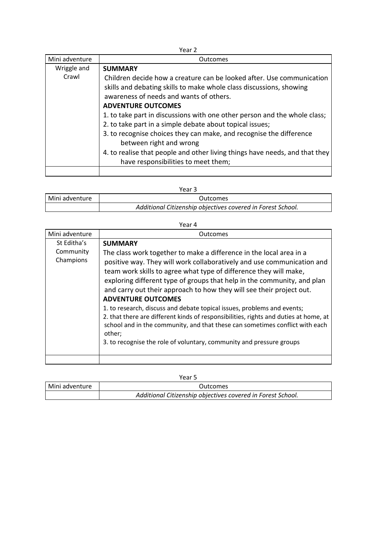| Year 2         |                                                                             |
|----------------|-----------------------------------------------------------------------------|
| Mini adventure | Outcomes                                                                    |
| Wriggle and    | <b>SUMMARY</b>                                                              |
| Crawl          | Children decide how a creature can be looked after. Use communication       |
|                | skills and debating skills to make whole class discussions, showing         |
|                | awareness of needs and wants of others.                                     |
|                | <b>ADVENTURE OUTCOMES</b>                                                   |
|                | 1. to take part in discussions with one other person and the whole class;   |
|                | 2. to take part in a simple debate about topical issues;                    |
|                | 3. to recognise choices they can make, and recognise the difference         |
|                | between right and wrong                                                     |
|                | 4. to realise that people and other living things have needs, and that they |
|                | have responsibilities to meet them;                                         |
|                |                                                                             |

| Year 3         |                                                             |
|----------------|-------------------------------------------------------------|
| Mini adventure | <b>Outcomes</b>                                             |
|                | Additional Citizenship objectives covered in Forest School. |

| . .<br>×<br>×<br>۰. |  |
|---------------------|--|
|---------------------|--|

| Mini adventure                        | Outcomes                                                                                                                                                                                                                                                                                                                                                                                                                               |
|---------------------------------------|----------------------------------------------------------------------------------------------------------------------------------------------------------------------------------------------------------------------------------------------------------------------------------------------------------------------------------------------------------------------------------------------------------------------------------------|
| St Editha's<br>Community<br>Champions | <b>SUMMARY</b><br>The class work together to make a difference in the local area in a<br>positive way. They will work collaboratively and use communication and<br>team work skills to agree what type of difference they will make,<br>exploring different type of groups that help in the community, and plan                                                                                                                        |
|                                       | and carry out their approach to how they will see their project out.<br><b>ADVENTURE OUTCOMES</b><br>1. to research, discuss and debate topical issues, problems and events;<br>2. that there are different kinds of responsibilities, rights and duties at home, at<br>school and in the community, and that these can sometimes conflict with each<br>other;<br>3. to recognise the role of voluntary, community and pressure groups |

| . .<br>۰.<br>× | ۰. |
|----------------|----|
|----------------|----|

| Mini adventure | <b>Outcomes</b>                                             |
|----------------|-------------------------------------------------------------|
|                | Additional Citizenship objectives covered in Forest School. |